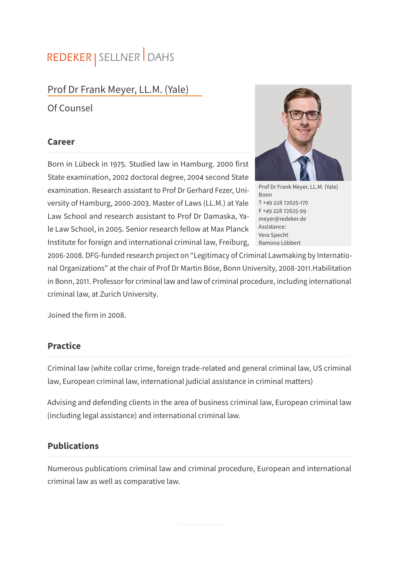# REDEKER | SELLNER DAHS

## Prof Dr Frank Meyer, LL.M. (Yale)

Of Counsel

#### **Career**

Born in Lübeck in 1975. Studied law in Hamburg. 2000 first State examination, 2002 doctoral degree, 2004 second State examination. Research assistant to Prof Dr Gerhard Fezer, University of Hamburg, 2000-2003. Master of Laws (LL.M.) at Yale Law School and research assistant to Prof Dr Damaska, Yale Law School, in 2005. Senior research fellow at Max Planck Institute for foreign and international criminal law, Freiburg,



Prof Dr Frank Meyer, LL.M. (Yale) Bonn T +49 228 72625-170 F +49 228 72625-99 meyer@redeker.de Assistance: Vera Specht Ramona Löbbert

2006-2008. DFG-funded research project on "Legitimacy of Criminal Lawmaking by International Organizations" at the chair of Prof Dr Martin Böse, Bonn University, 2008-2011.Habilitation in Bonn, 2011. Professor for criminal law and law of criminal procedure, including international criminal law, at Zurich University.

Joined the firm in 2008.

### **Practice**

Criminal law (white collar crime, foreign trade-related and general criminal law, US criminal law, European criminal law, international judicial assistance in criminal matters)

Advising and defending clients in the area of business criminal law, European criminal law (including legal assistance) and international criminal law.

### **Publications**

Numerous publications criminal law and criminal procedure, European and international criminal law as well as comparative law.